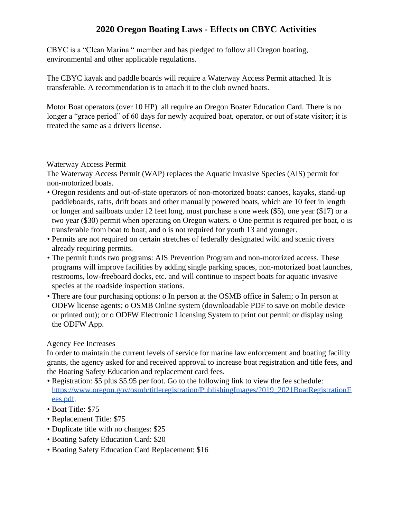# **2020 Oregon Boating Laws - Effects on CBYC Activities**

CBYC is a "Clean Marina " member and has pledged to follow all Oregon boating, environmental and other applicable regulations.

The CBYC kayak and paddle boards will require a Waterway Access Permit attached. It is transferable. A recommendation is to attach it to the club owned boats.

Motor Boat operators (over 10 HP) all require an Oregon Boater Education Card. There is no longer a "grace period" of 60 days for newly acquired boat, operator, or out of state visitor; it is treated the same as a drivers license.

### Waterway Access Permit

The Waterway Access Permit (WAP) replaces the Aquatic Invasive Species (AIS) permit for non-motorized boats.

- Oregon residents and out-of-state operators of non-motorized boats: canoes, kayaks, stand-up paddleboards, rafts, drift boats and other manually powered boats, which are 10 feet in length or longer and sailboats under 12 feet long, must purchase a one week (\$5), one year (\$17) or a two year (\$30) permit when operating on Oregon waters. o One permit is required per boat, o is transferable from boat to boat, and o is not required for youth 13 and younger.
- Permits are not required on certain stretches of federally designated wild and scenic rivers already requiring permits.
- The permit funds two programs: AIS Prevention Program and non-motorized access. These programs will improve facilities by adding single parking spaces, non-motorized boat launches, restrooms, low-freeboard docks, etc. and will continue to inspect boats for aquatic invasive species at the roadside inspection stations.
- There are four purchasing options: o In person at the OSMB office in Salem; o In person at ODFW license agents; o OSMB Online system (downloadable PDF to save on mobile device or printed out); or o ODFW Electronic Licensing System to print out permit or display using the ODFW App.

### Agency Fee Increases

In order to maintain the current levels of service for marine law enforcement and boating facility grants, the agency asked for and received approval to increase boat registration and title fees, and the Boating Safety Education and replacement card fees.

- Registration: \$5 plus \$5.95 per foot. Go to the following link to view the fee schedule[:](https://www.oregon.gov/osmb/title-registration/PublishingImages/2019_2021BoatRegistrationFees.pdf) [https://www.oregon.gov/osmb/titleregistration/PublishingImages/2019\\_2021BoatRegistrationF](https://www.oregon.gov/osmb/title-registration/PublishingImages/2019_2021BoatRegistrationFees.pdf) [ees.pdf.](https://www.oregon.gov/osmb/title-registration/PublishingImages/2019_2021BoatRegistrationFees.pdf)
- Boat Title: \$75
- Replacement Title: \$75
- Duplicate title with no changes: \$25
- Boating Safety Education Card: \$20
- Boating Safety Education Card Replacement: \$16